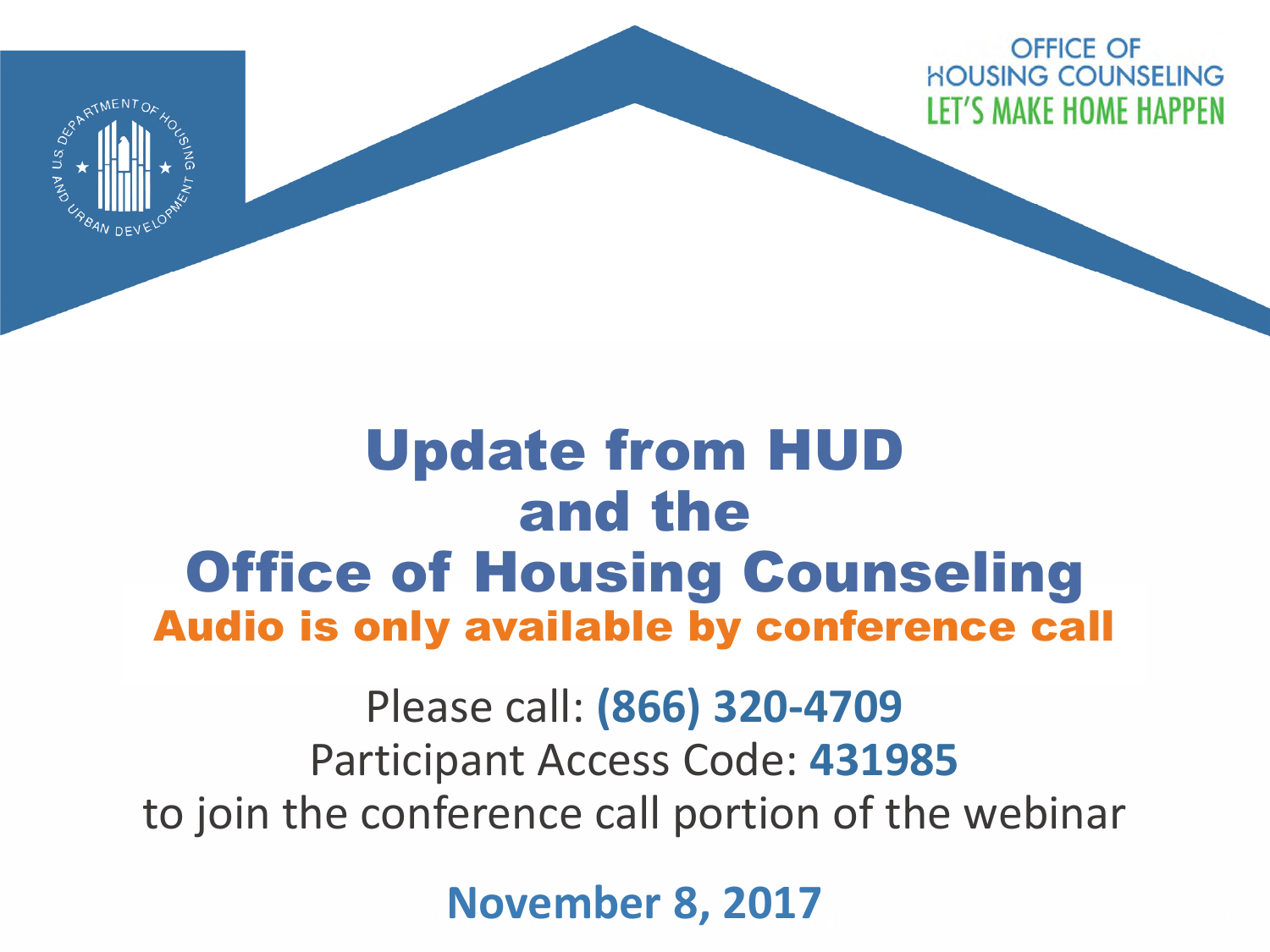OFFICE OF **HOUSING COUNSELING LET'S MAKE HOME HAPPEN** 



#### Update from HUD and the **Office of Housing Counseling** Audio is only available by conference call

Please call: **(866) 320-4709**  Participant Access Code: **431985** to join the conference call portion of the webinar

**November 8, 2017**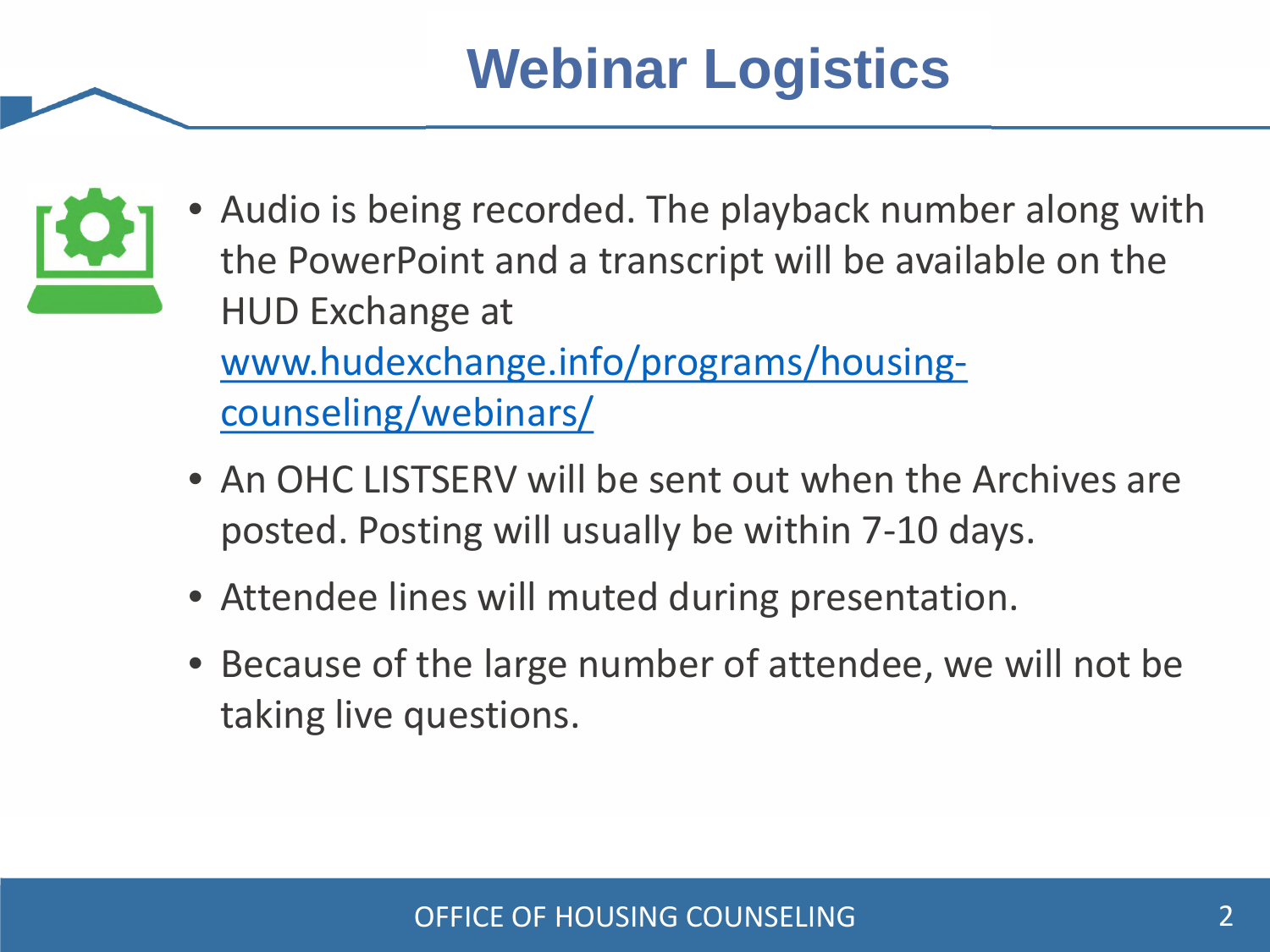## **Webinar Logistics**



- Audio is being recorded. The playback number along with the PowerPoint and a transcript will be available on the HUD Exchange at www.hudexchange.info/programs/housingcounseling/webinars/
- An OHC LISTSERV will be sent out when the Archives are posted. Posting will usually be within 7-10 days.
- Attendee lines will muted during presentation. •
- Because of the large number of attendee, we will not be taking live questions.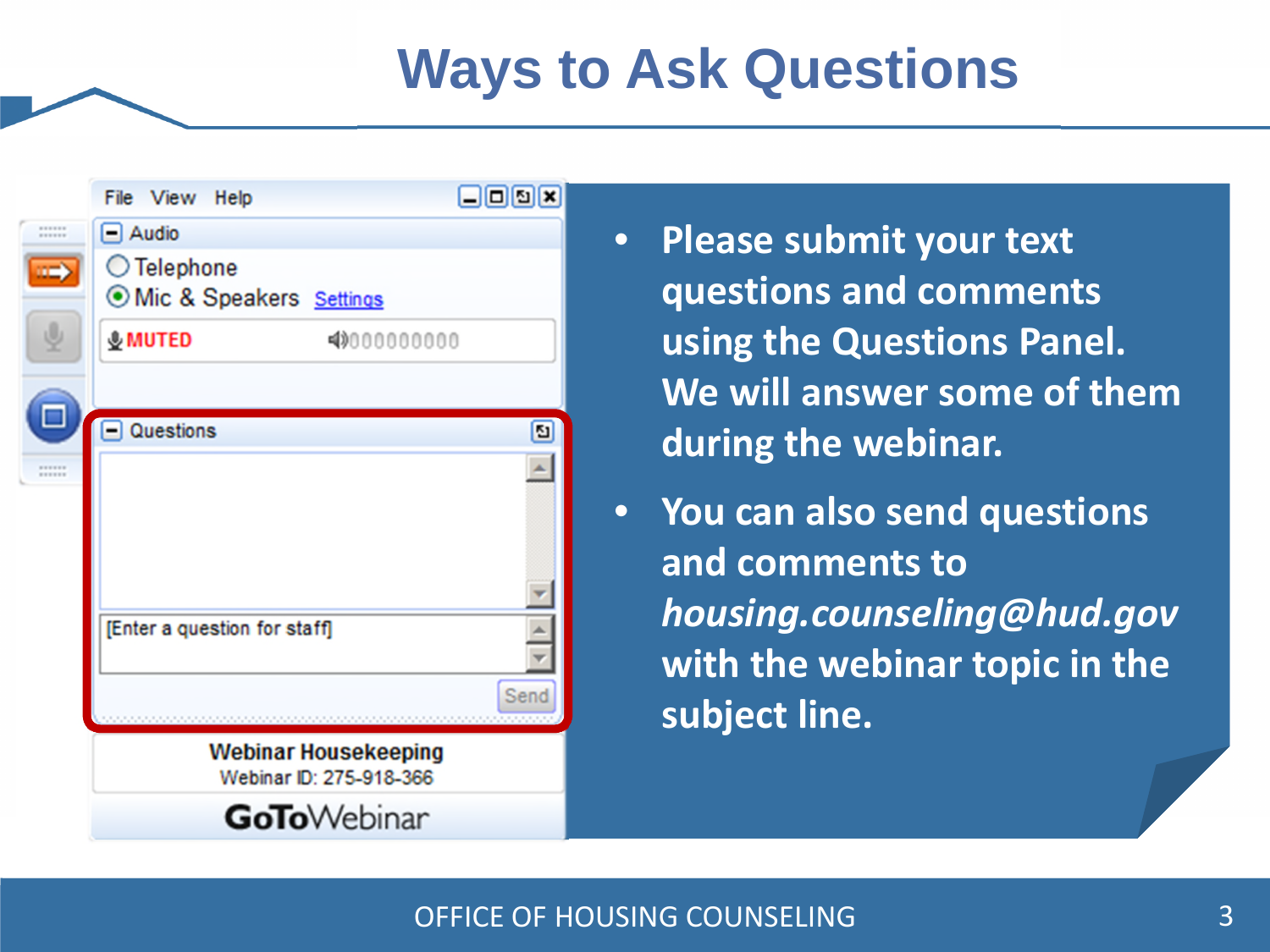#### **Ways to Ask Questions**

| File View Help                                         | 日回回因 |
|--------------------------------------------------------|------|
| <br><br>$\Box$ Audio                                   |      |
| ◯ Telephone<br>O Mic & Speakers Settings               |      |
| <b>&amp;MUTED</b><br>4000000000                        |      |
| $\Box$ Questions                                       |      |
|                                                        | ø    |
| <br>                                                   |      |
| [Enter a question for staff]                           |      |
|                                                        | Send |
| <b>Webinar Housekeeping</b><br>Webinar ID: 275-918-366 |      |
| <b>GoTo</b> Webinar                                    |      |

- **Please submit your text questions and comments using the Questions Panel. We will answer some of them during the webinar.**
- **You can also send questions and comments to**  *housing.counseling@hud.gov* **with the webinar topic in the subject line.**

#### OFFICE OF HOUSING COUNSELING 3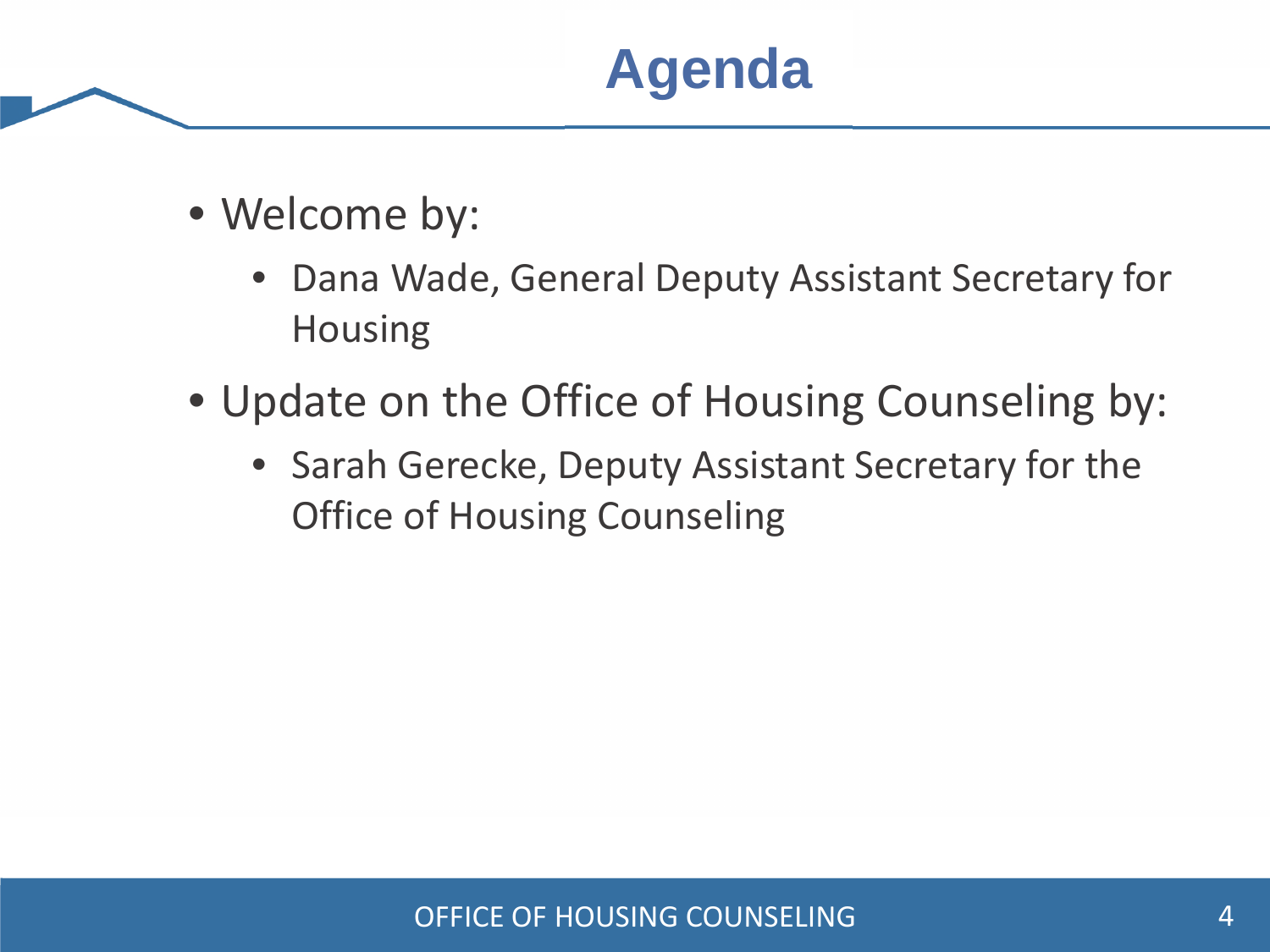#### **Agenda**

- Welcome by:
	- Dana Wade, General Deputy Assistant Secretary for Housing
- Update on the Office of Housing Counseling by:
	- Sarah Gerecke, Deputy Assistant Secretary for the Office of Housing Counseling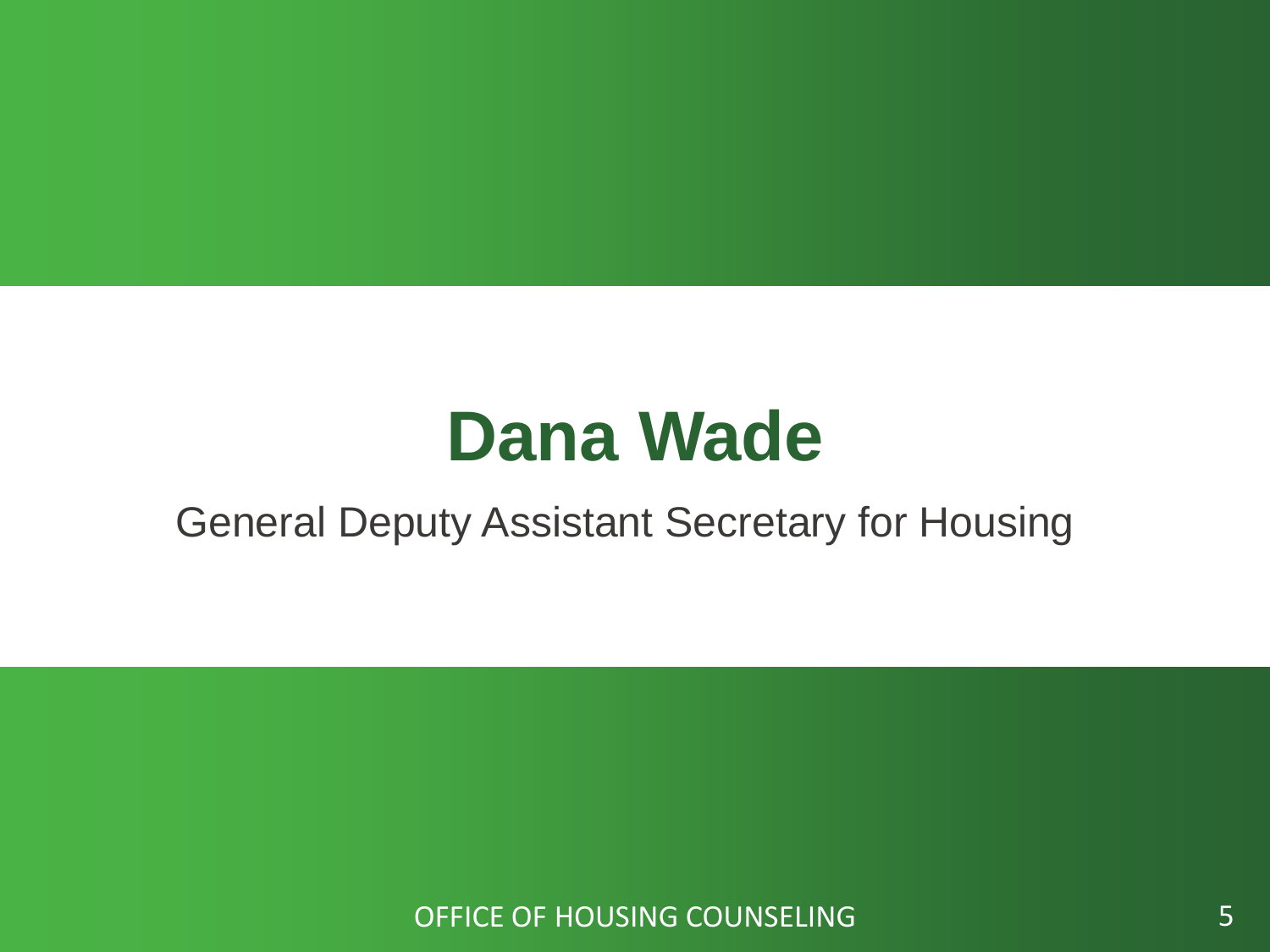# **Dana Wade**

#### General Deputy Assistant Secretary for Housing

OFFICE OF HOUSING COUNSELING **SECULIES 5**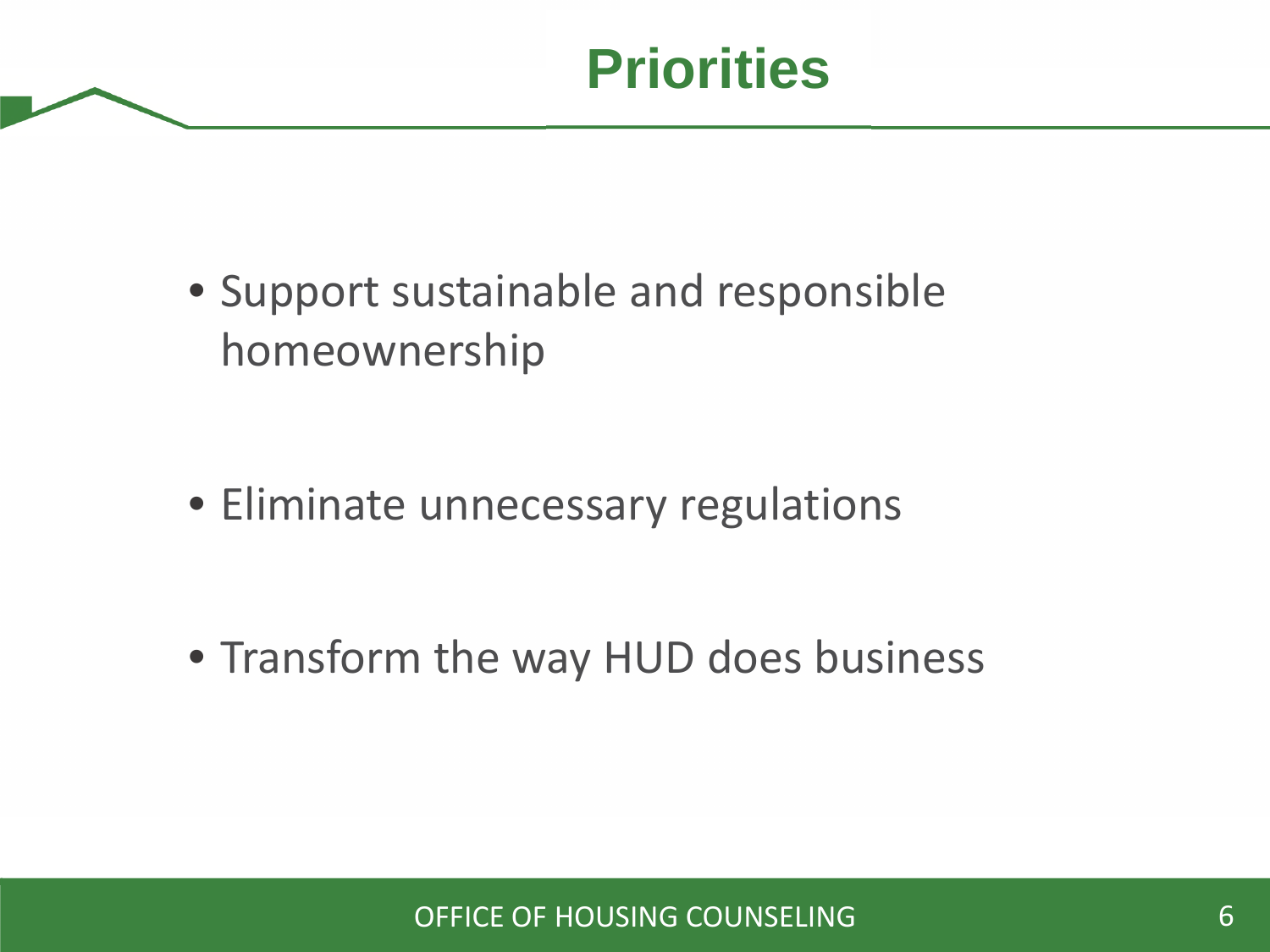• Support sustainable and responsible homeownership

• Eliminate unnecessary regulations

• Transform the way HUD does business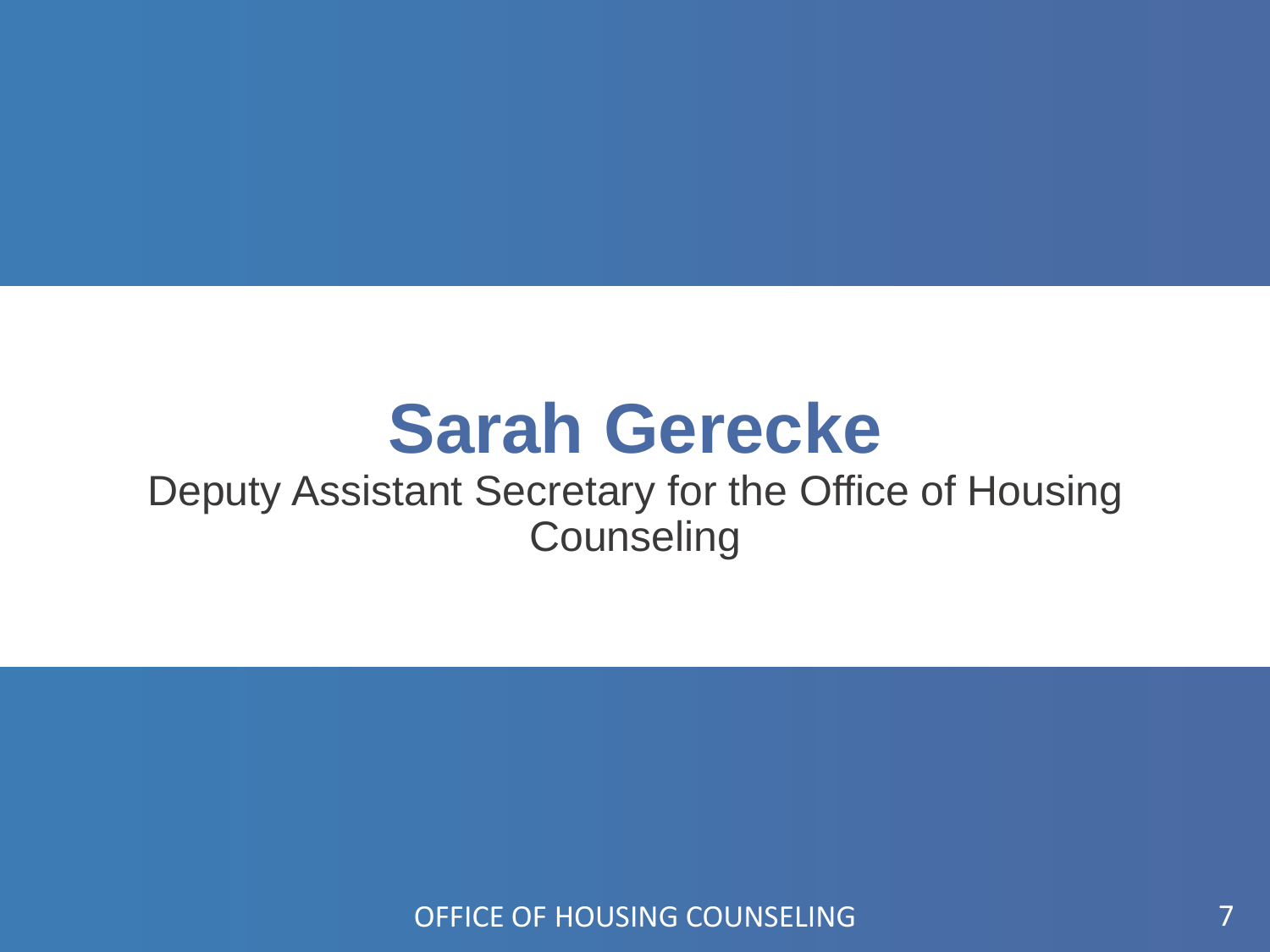# **Sarah Gerecke**

#### Deputy Assistant Secretary for the Office of Housing **Counseling**

OFFICE OF HOUSING COUNSELING 7 AND THE RESERVE TO A 2 AND THE RESERVE TO A 2 AND THE RESERVE TO A 2 AND THE RESERVE TO A 2 AND THE RESERVE TO A 2 AND THE RESERVE TO A 2 AND THE RESERVE TO A 2 AND THE RESERVE TO A 2 AND THE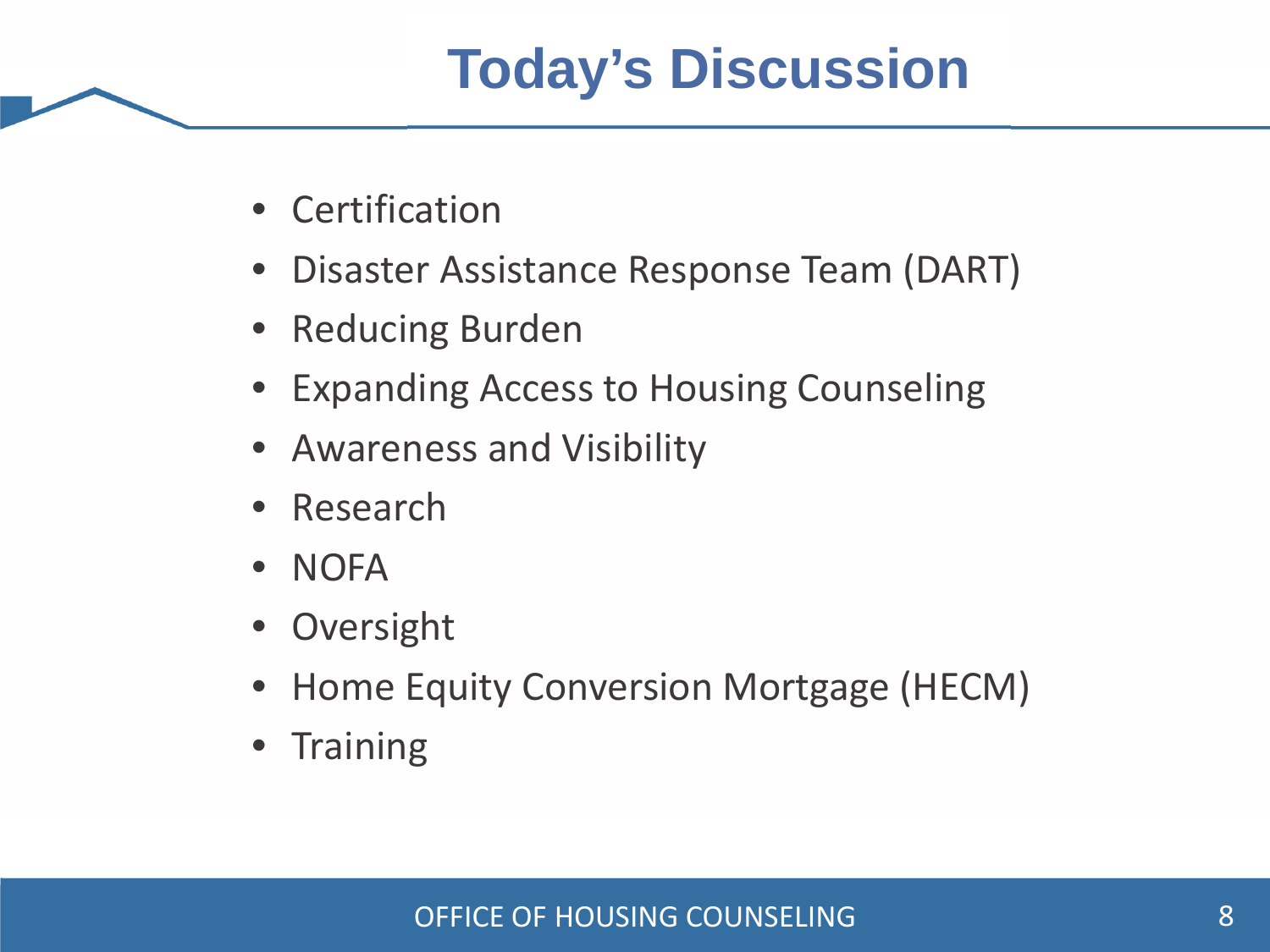### **Today's Discussion**

- Certification
- Disaster Assistance Response Team (DART)
- Reducing Burden
- Expanding Access to Housing Counseling
- Awareness and Visibility
- Research
- NOFA
- Oversight
- Home Equity Conversion Mortgage (HECM)
- Training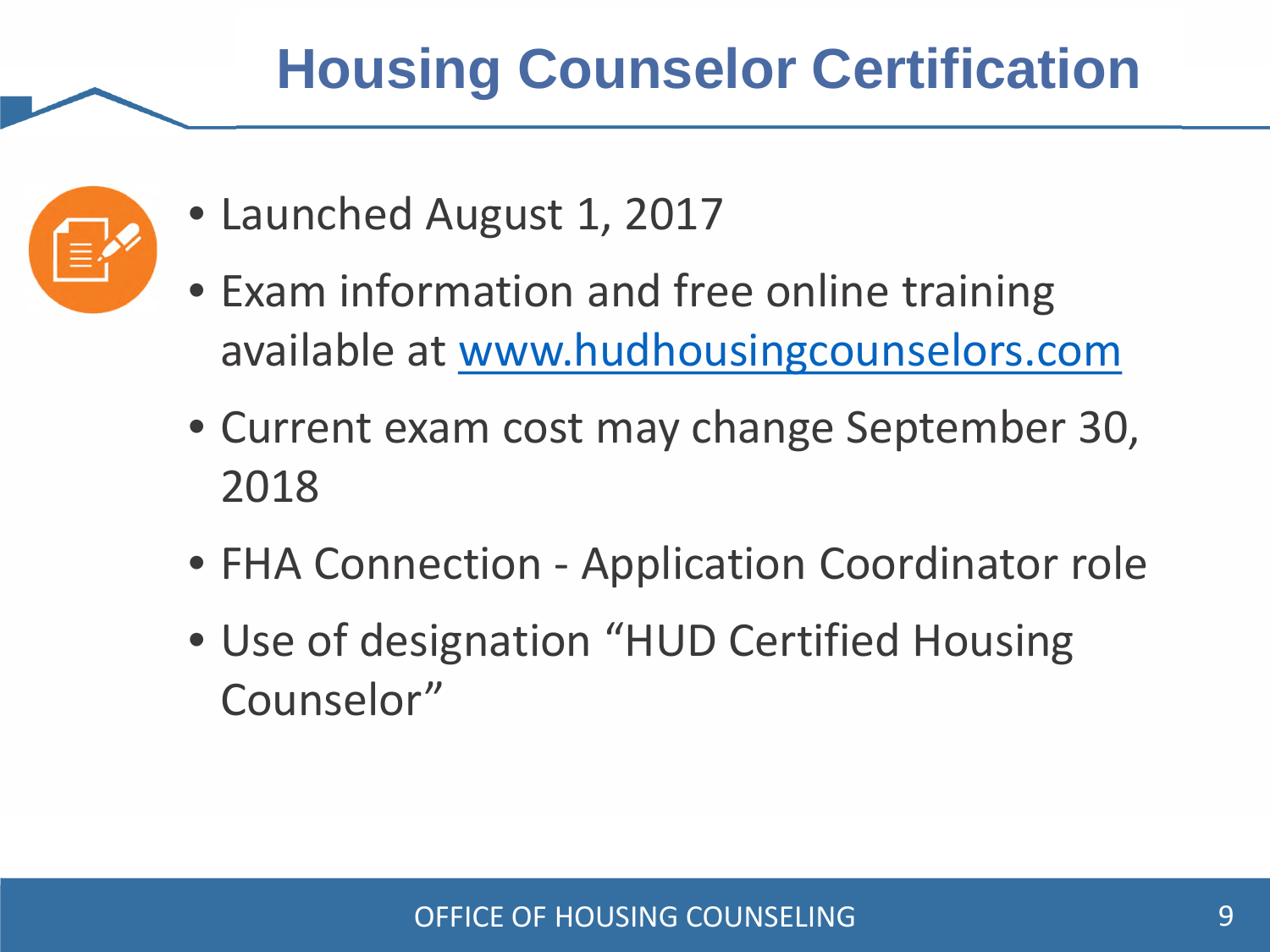### **Housing Counselor Certification**



- Launched August 1, 2017
- Exam information and free online training available at www.hudhousingcounselors.com
- Current exam cost may change September 30, 2018
- FHA Connection Application Coordinator role
- Use of designation "HUD Certified Housing Counselor"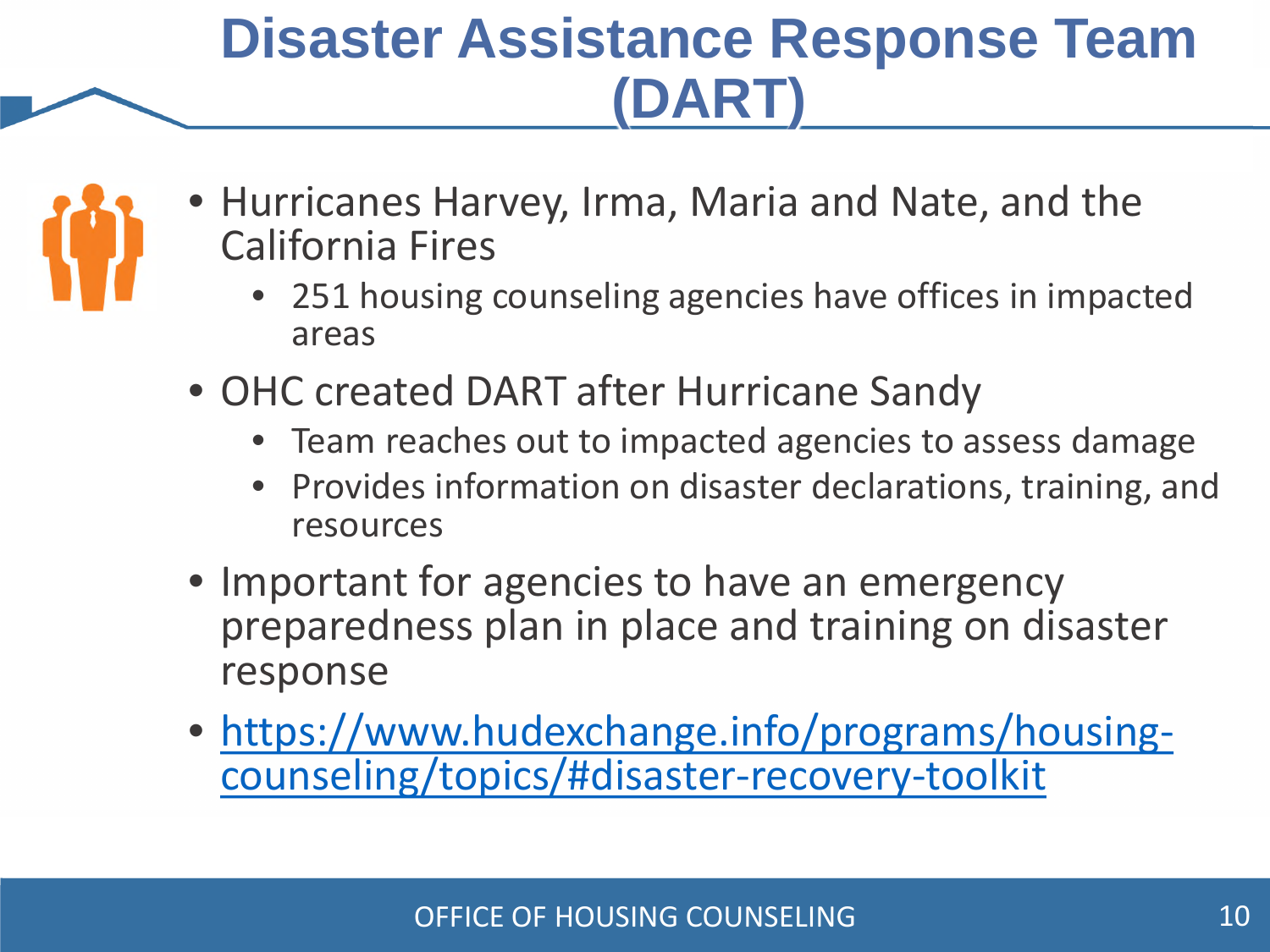#### **Disaster Assistance Response Team (DART)**



- Hurricanes Harvey, Irma, Maria and Nate, and the California Fires
	- 251 housing counseling agencies have offices in impacted areas
- OHC created DART after Hurricane Sandy
	- Team reaches out to impacted agencies to assess damage
	- Provides information on disaster declarations, training, and resources
- Important for agencies to have an emergency preparedness plan in place and training on disaster response
- https://www.hudexchange.info/programs/housingcounseling/topics/#disaster-recovery-toolkit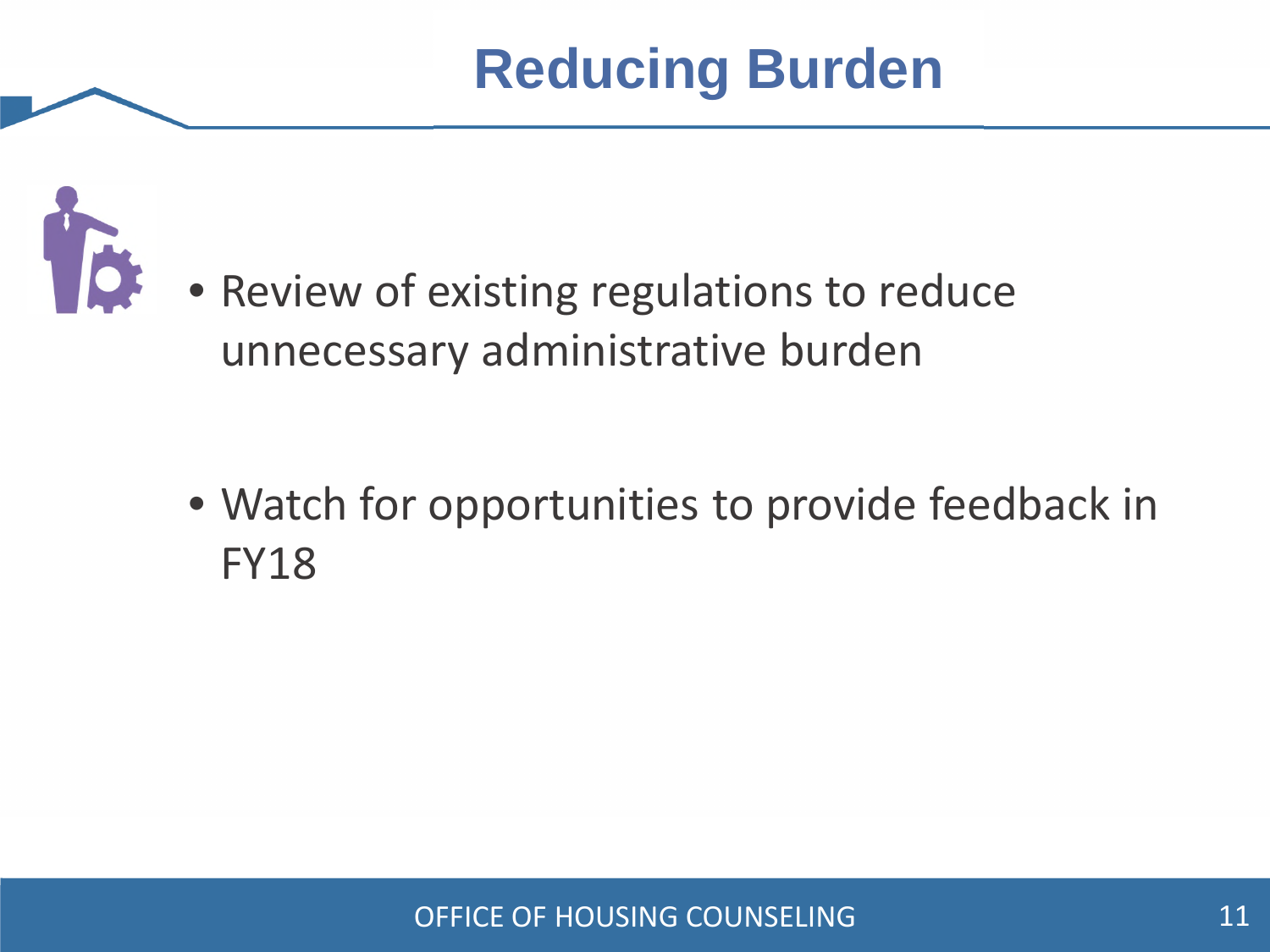## **Reducing Burden**



• Review of existing regulations to reduce unnecessary administrative burden

• Watch for opportunities to provide feedback in FY18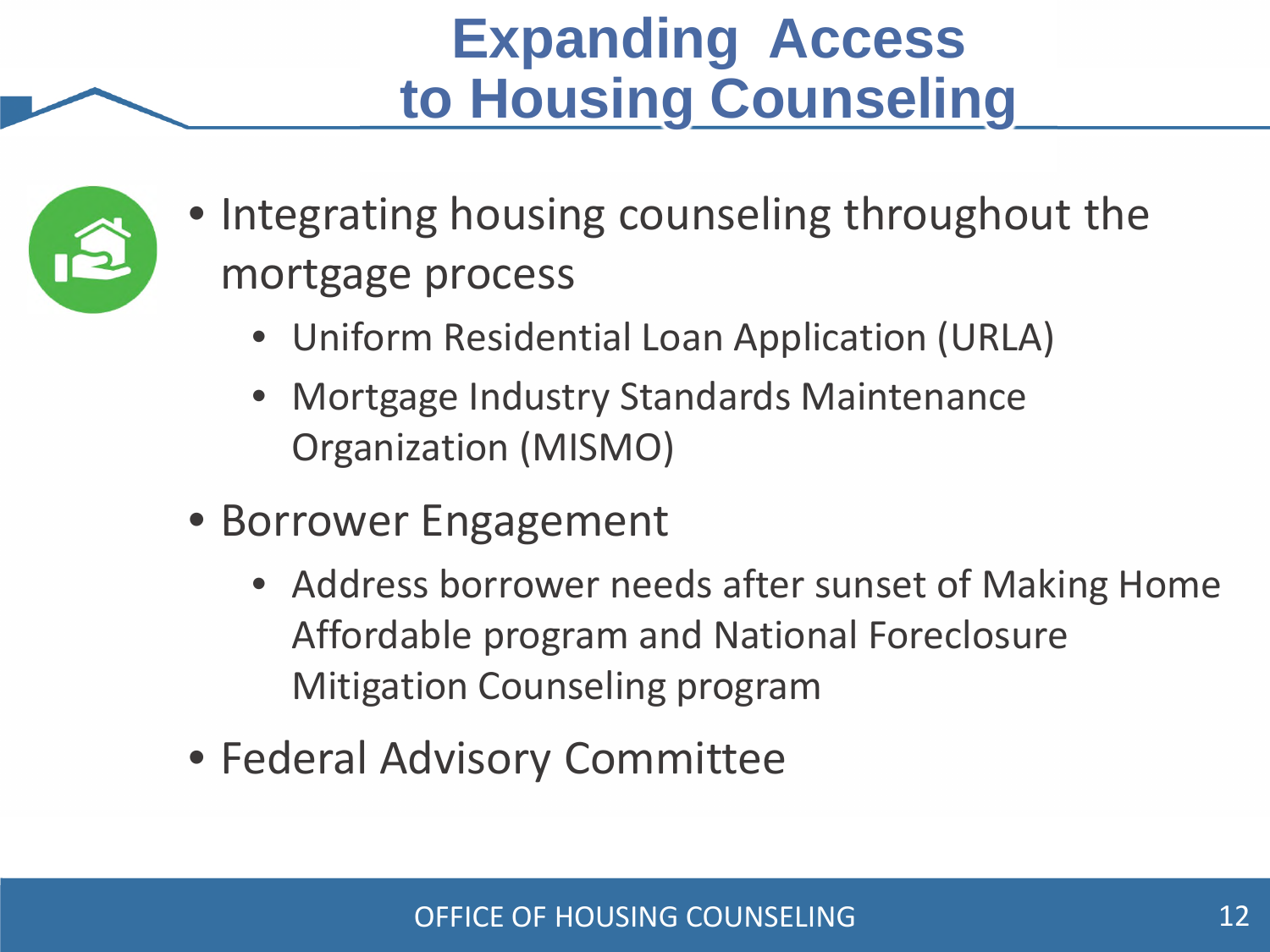#### **Expanding Access to Housing Counseling**



- Integrating housing counseling throughout the mortgage process
	- Uniform Residential Loan Application (URLA)
	- Mortgage Industry Standards Maintenance Organization (MISMO)
- Borrower Engagement
	- Address borrower needs after sunset of Making Home Affordable program and National Foreclosure Mitigation Counseling program
- Federal Advisory Committee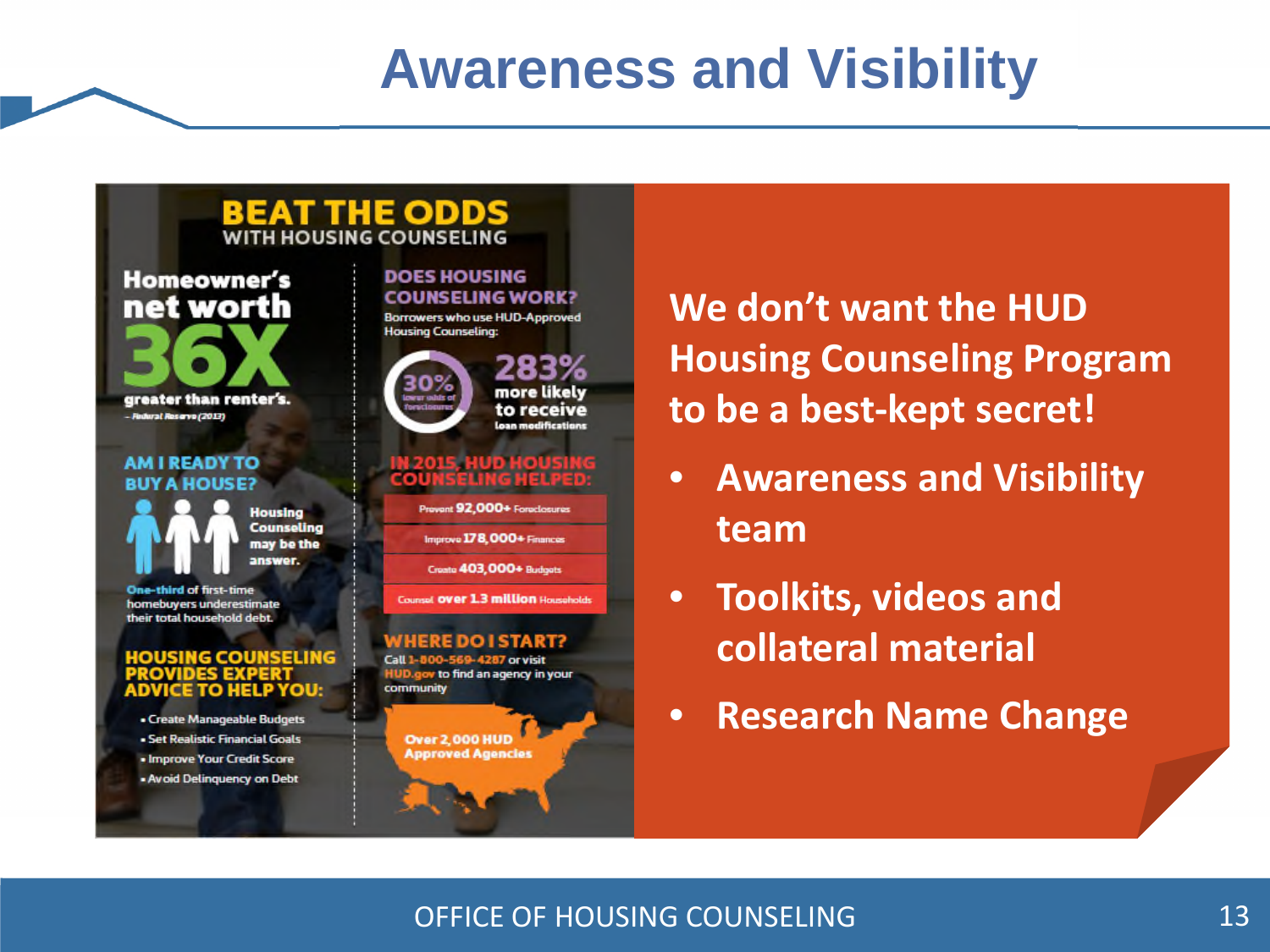#### **Awareness and Visibility**



#### **AM I READY TO BUY A HOUSE?**

**Housing Counseling** may be the answer.

**One-third of first-time** homebuyers underestimate their total household debt.

#### **IOUSING COUNSELING** DES EXI ADVICE TO HELP YOU:

· Create Manageable Budgets - Set Realistic Financial Goals . Improve Your Credit Score - Avoid Delinquency on Debt

**DOES HOUSING COUNSELING WORK?** Borrowers who use HUD-Approved **Housing Counseling:** 



#### IN 2015, HUD HOUS<br>COUNSELING HELP

Provent 92 000+ Foreclosures

Improve 178,000+ Finances

Create 403,000+ Buttoots

**Counsel OVER 1.3 million Households** 

#### NHERE DO I START?

Call 1-800-569-4287 or visit HUD.gov to find an agency in your community

**Over 2,000 HUD Approved Agencies**  **We don't want the HUD Housing Counseling Program to be a best-kept secret!** 

- **Awareness and Visibility team**
- **Toolkits, videos and collateral material**
- **Research Name Change**

#### OFFICE OF HOUSING COUNSELING 13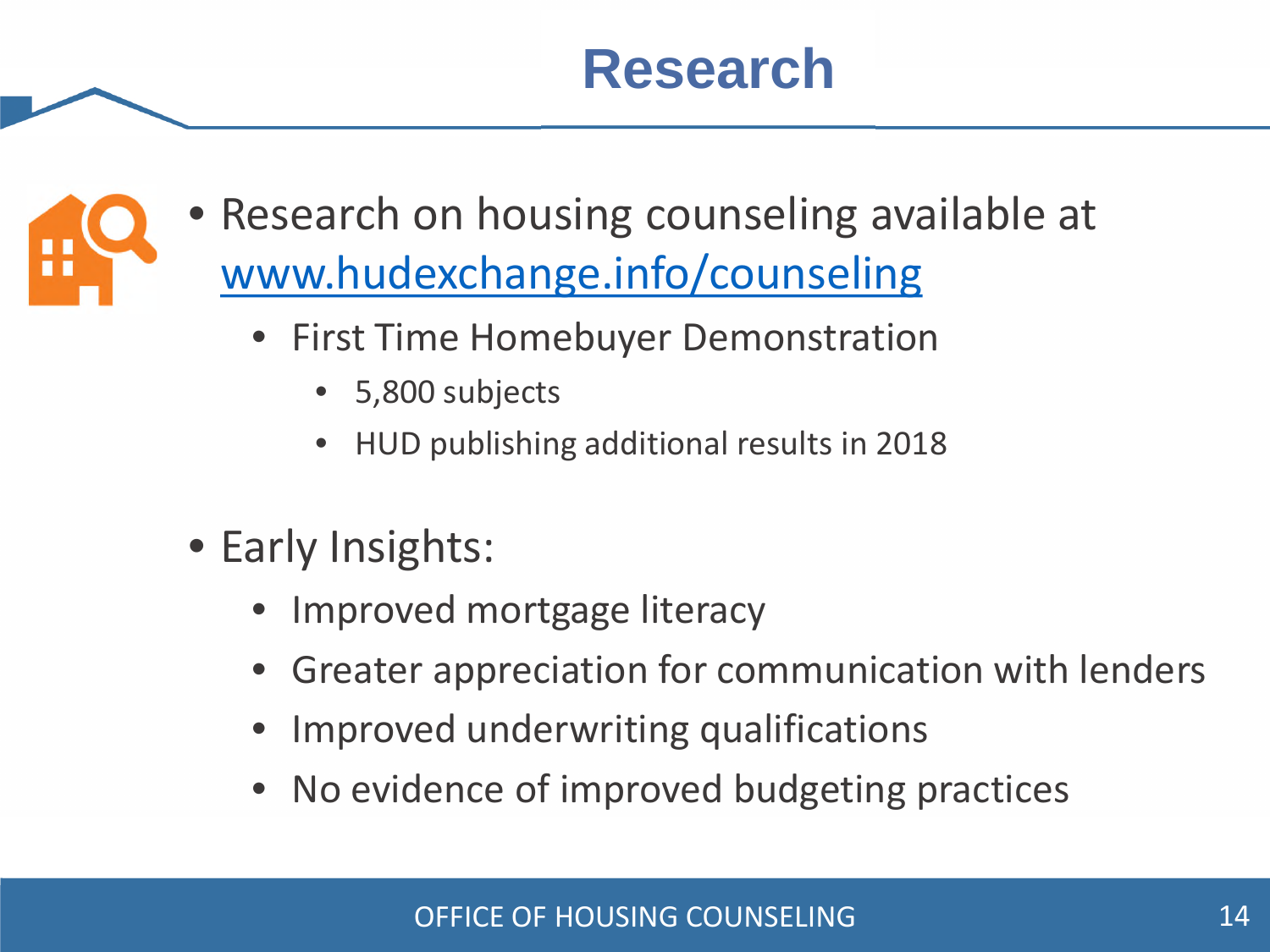#### **Research**



- Research on housing counseling available at www.hudexchange.info/counseling
	- First Time Homebuyer Demonstration
		- 5,800 subjects
		- HUD publishing additional results in 2018
- Early Insights:
	- Improved mortgage literacy
	- Greater appreciation for communication with lenders
	- Improved underwriting qualifications
	- No evidence of improved budgeting practices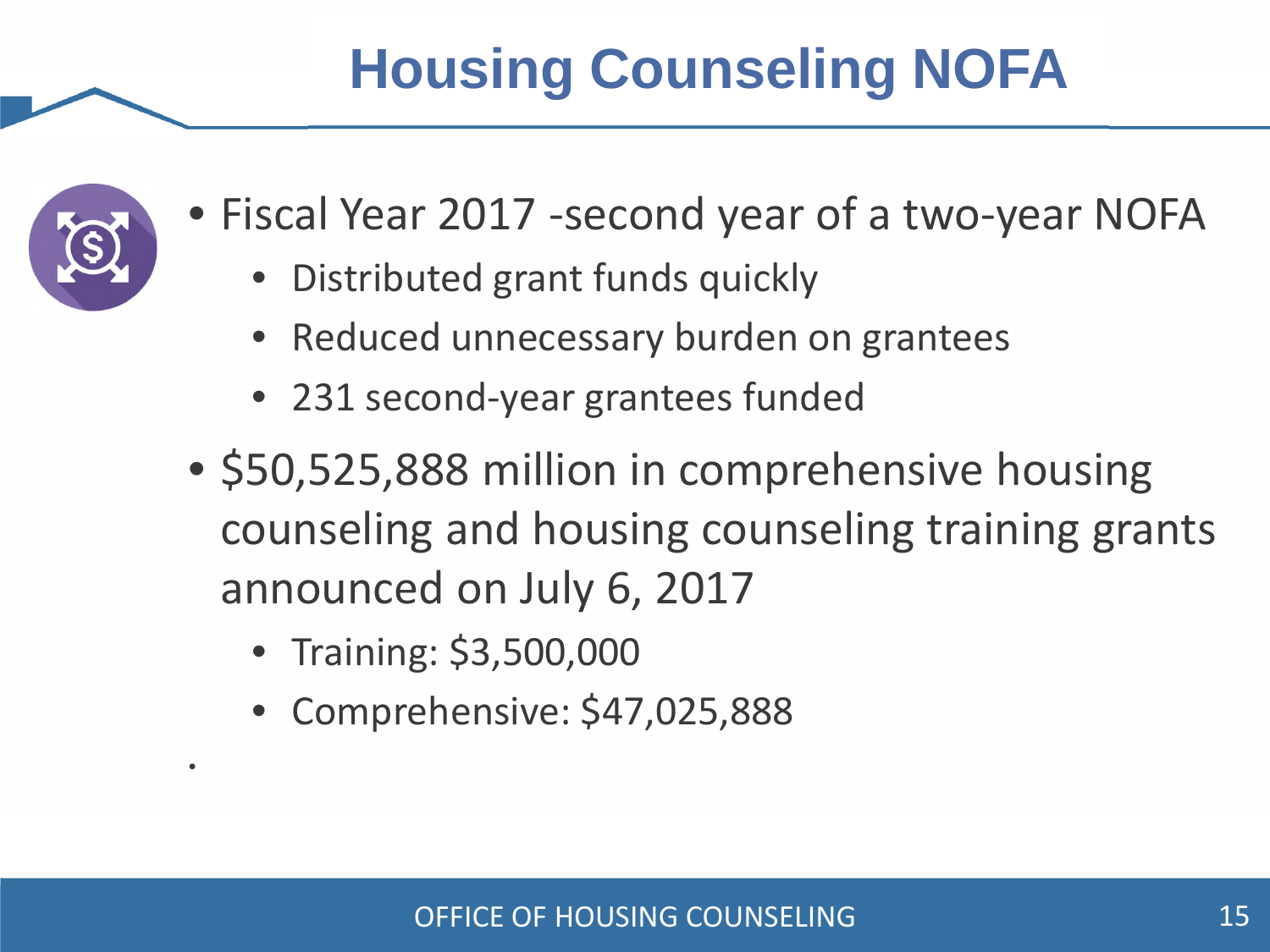# **Housing Counseling NOFA**



•

- Fiscal Year 2017 -second year of a two-year NOFA
	- Distributed grant funds quickly
	- Reduced unnecessary burden on grantees
	- 231 second-year grantees funded
- \$50,525,888 million in comprehensive housing counseling and housing counseling training grants announced on July 6, 2017
	- Training: \$3,500,000
	- Comprehensive: \$47,025,888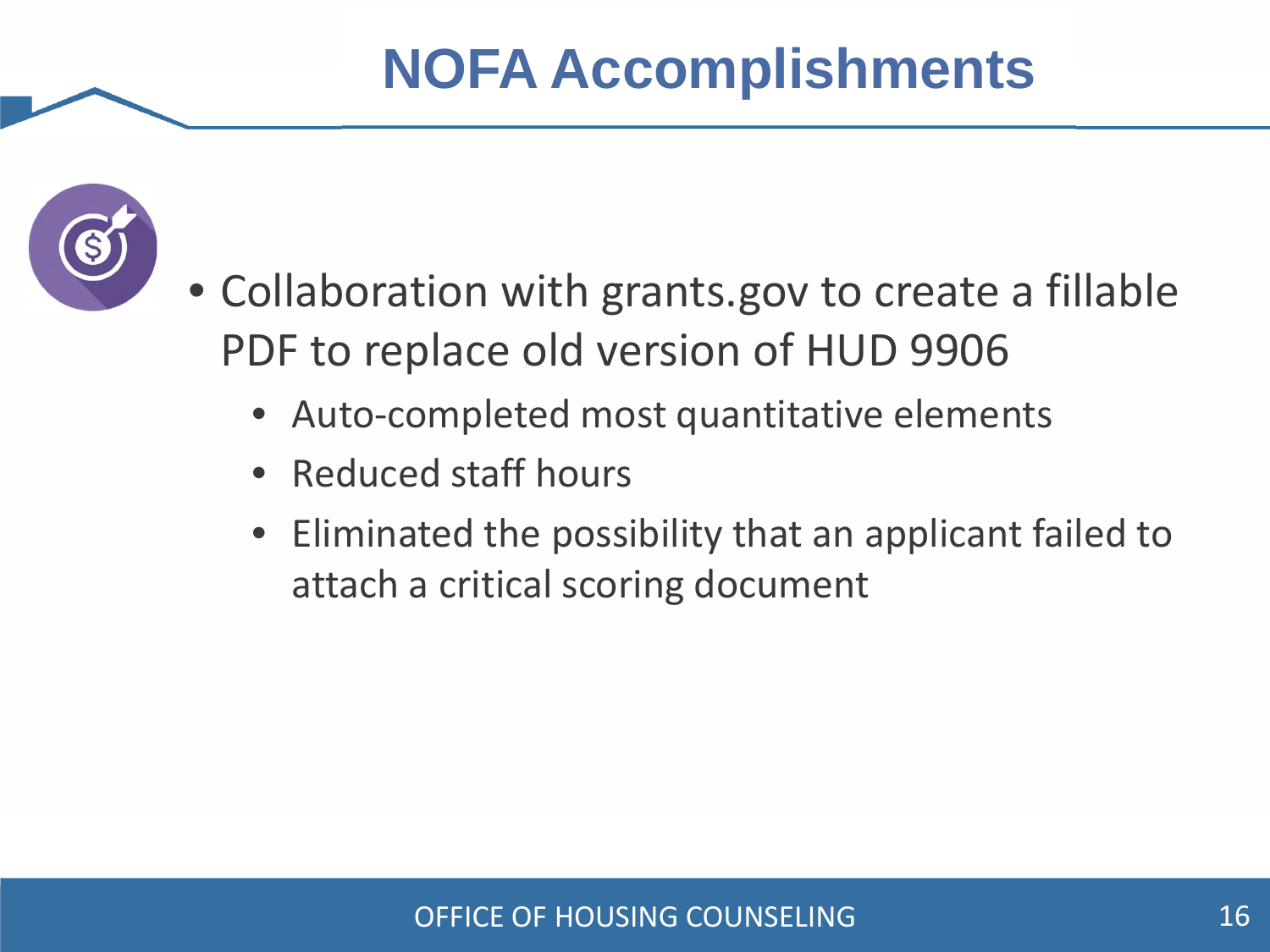

- Collaboration with grants.gov to create a fillable PDF to replace old version of HUD 9906
	- Auto-completed most quantitative elements
	- Reduced staff hours
	- Eliminated the possibility that an applicant failed to attach a critical scoring document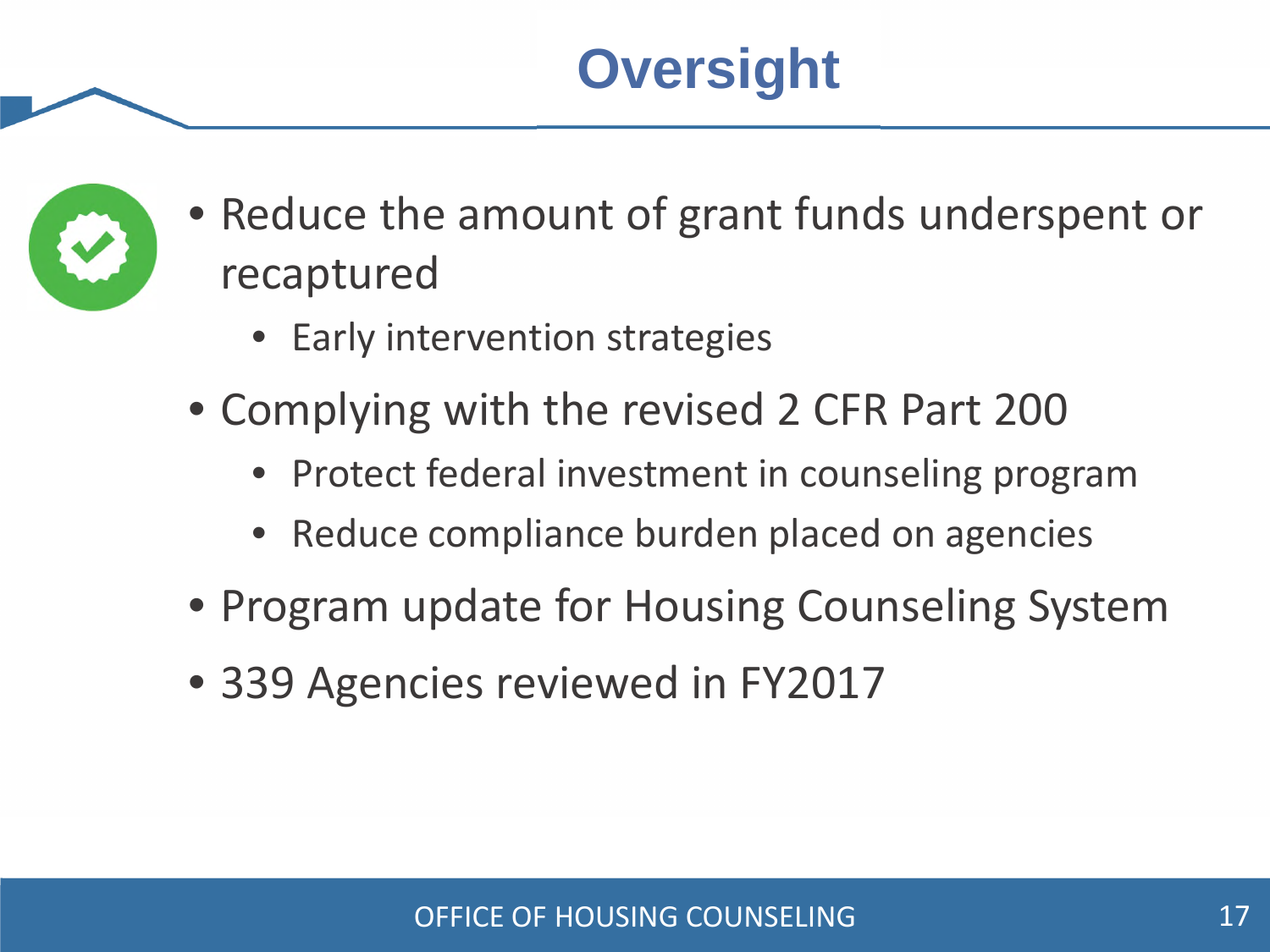## **Oversight**



- Reduce the amount of grant funds underspent or recaptured
	- Early intervention strategies
- Complying with the revised 2 CFR Part 200
	- Protect federal investment in counseling program
	- Reduce compliance burden placed on agencies
- Program update for Housing Counseling System
- 339 Agencies reviewed in FY2017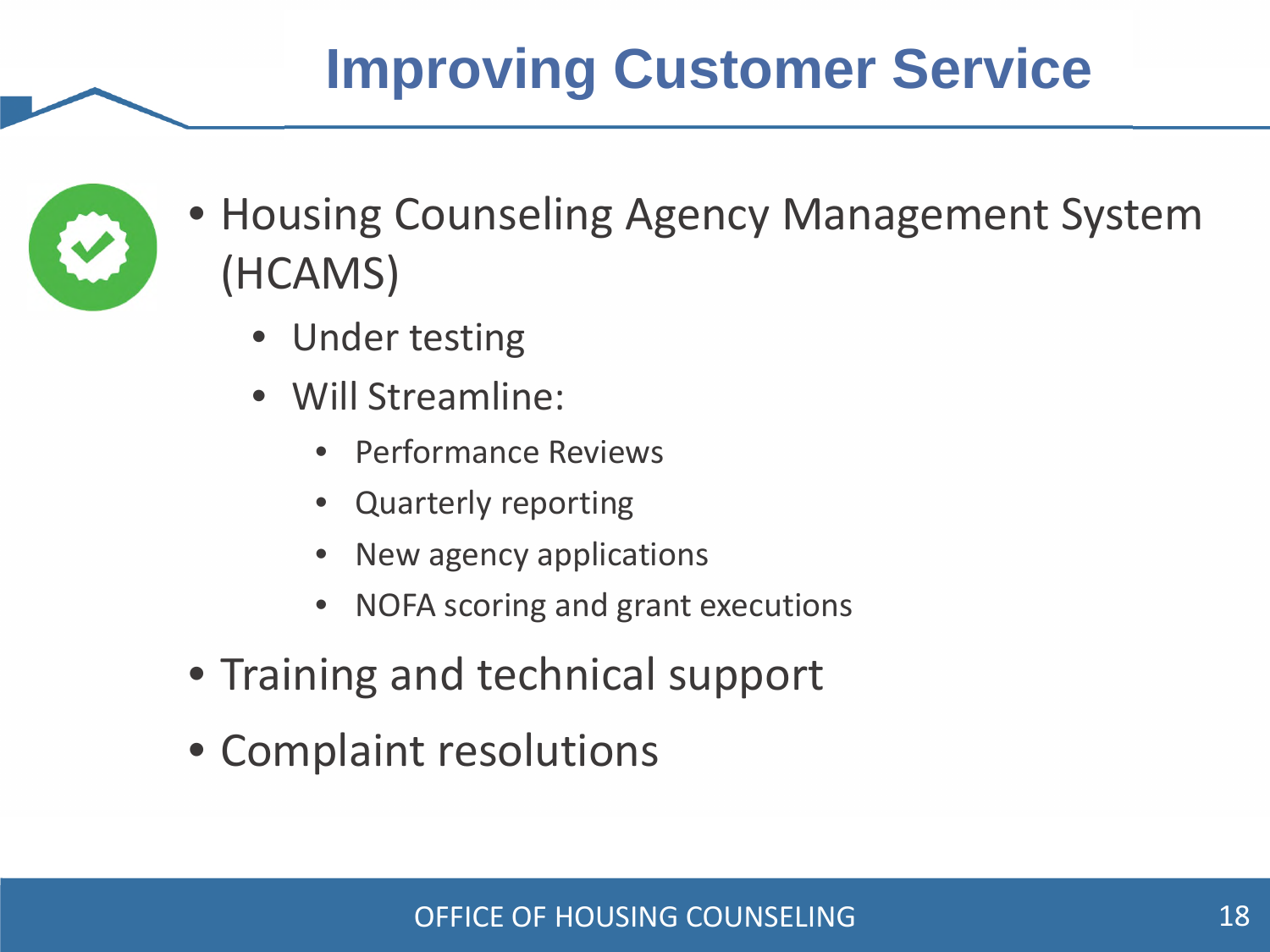## **Improving Customer Service**



- Housing Counseling Agency Management System (HCAMS)
	- Under testing
	- Will Streamline:
		- Performance Reviews
		- Quarterly reporting
		- New agency applications
		- NOFA scoring and grant executions
- Training and technical support
- Complaint resolutions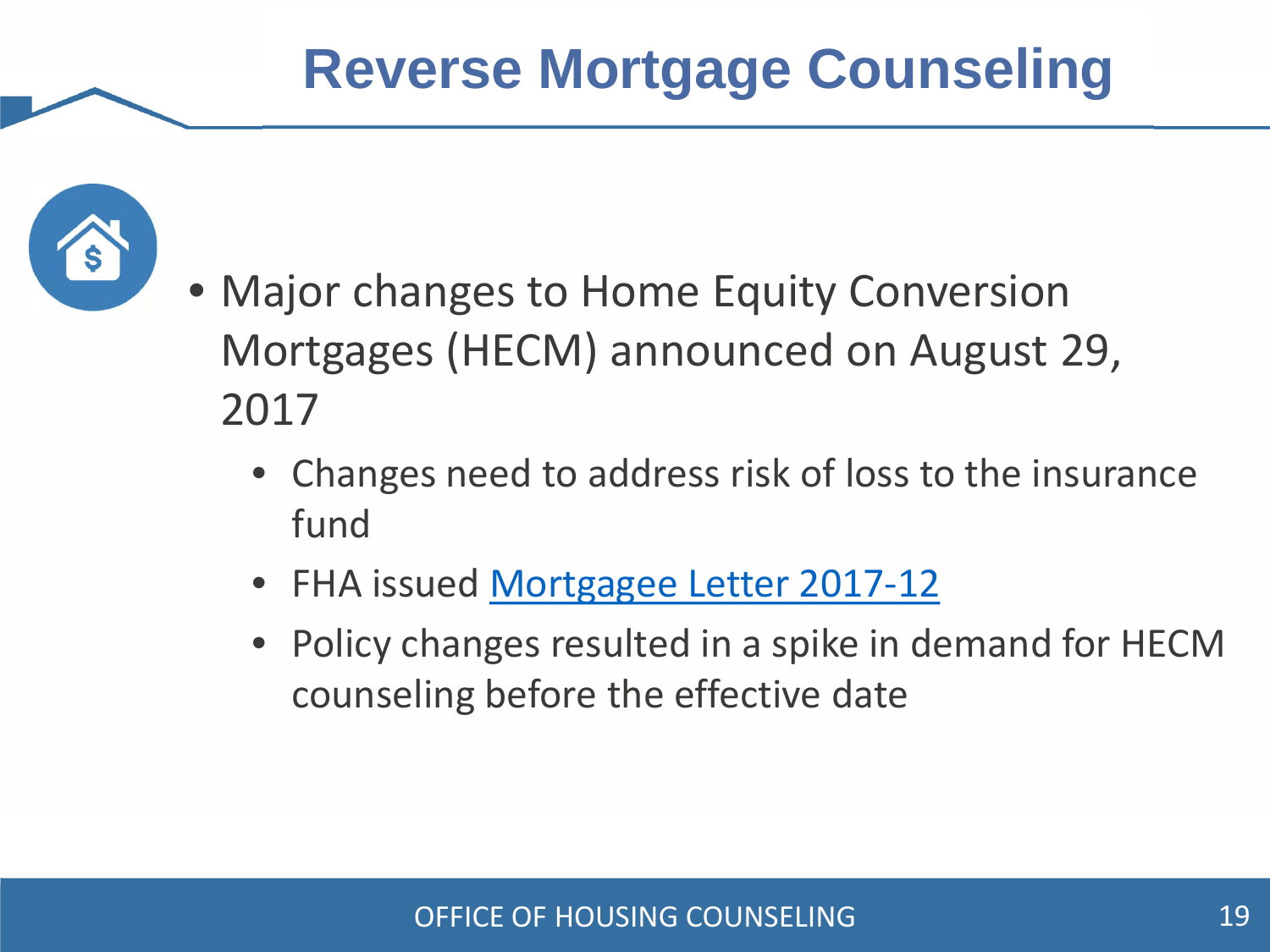

- Major changes to Home Equity Conversion Mortgages (HECM) announced on August 29, 2017
	- Changes need to address risk of loss to the insurance fund
	- FHA issued Mortgagee Letter 2017-12
	- Policy changes resulted in a spike in demand for HECM counseling before the effective date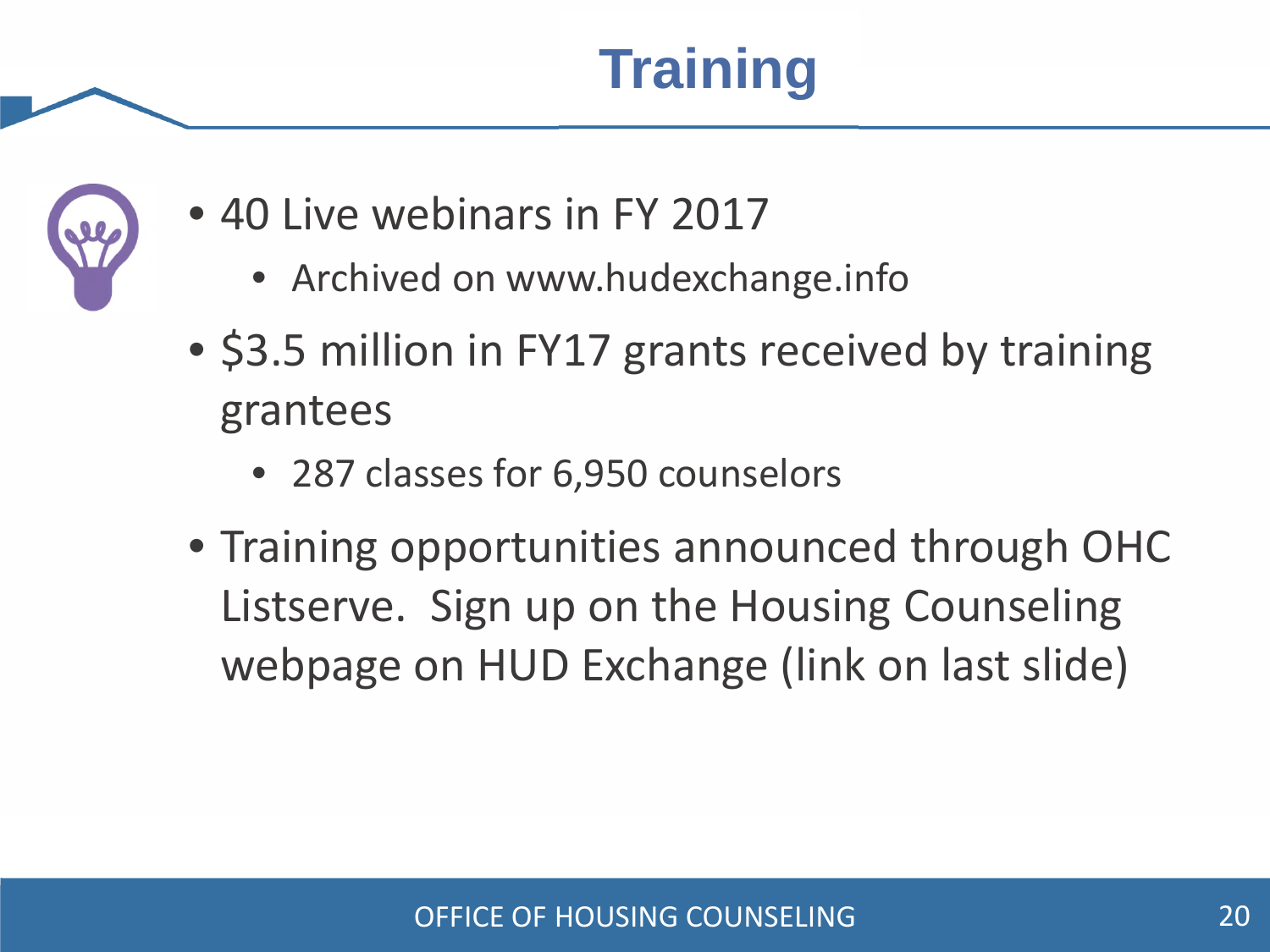**Training**



- 40 Live webinars in FY 2017
	- Archived on www.hudexchange.info
- \$3.5 million in FY17 grants received by training grantees
	- 287 classes for 6,950 counselors
- Training opportunities announced through OHC Listserve. Sign up on the Housing Counseling webpage on HUD Exchange (link on last slide)